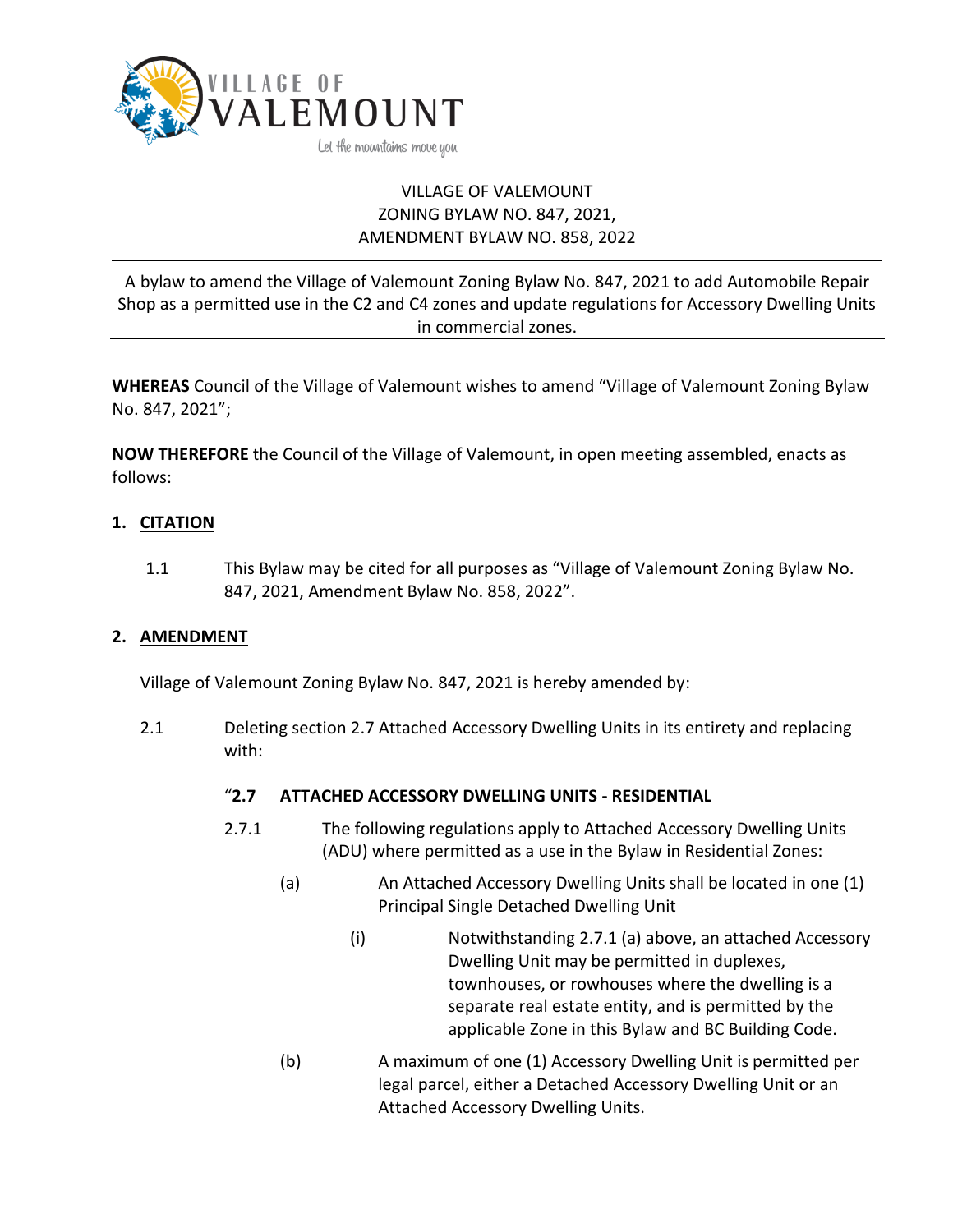

# VILLAGE OF VALEMOUNT ZONING BYLAW NO. 847, 2021, AMENDMENT BYLAW NO. 858, 2022

A bylaw to amend the Village of Valemount Zoning Bylaw No. 847, 2021 to add Automobile Repair Shop as a permitted use in the C2 and C4 zones and update regulations for Accessory Dwelling Units in commercial zones.

**WHEREAS** Council of the Village of Valemount wishes to amend "Village of Valemount Zoning Bylaw No. 847, 2021";

**NOW THEREFORE** the Council of the Village of Valemount, in open meeting assembled, enacts as follows:

## **1. CITATION**

1.1 This Bylaw may be cited for all purposes as "Village of Valemount Zoning Bylaw No. 847, 2021, Amendment Bylaw No. 858, 2022".

### **2. AMENDMENT**

Village of Valemount Zoning Bylaw No. 847, 2021 is hereby amended by:

2.1 Deleting section 2.7 Attached Accessory Dwelling Units in its entirety and replacing with:

### "**2.7 ATTACHED ACCESSORY DWELLING UNITS - RESIDENTIAL**

- 2.7.1 The following regulations apply to Attached Accessory Dwelling Units (ADU) where permitted as a use in the Bylaw in Residential Zones:
	- (a) An Attached Accessory Dwelling Units shall be located in one (1) Principal Single Detached Dwelling Unit
		- (i) Notwithstanding 2.7.1 (a) above, an attached Accessory Dwelling Unit may be permitted in duplexes, townhouses, or rowhouses where the dwelling is a separate real estate entity, and is permitted by the applicable Zone in this Bylaw and BC Building Code.
	- (b) A maximum of one (1) Accessory Dwelling Unit is permitted per legal parcel, either a Detached Accessory Dwelling Unit or an Attached Accessory Dwelling Units.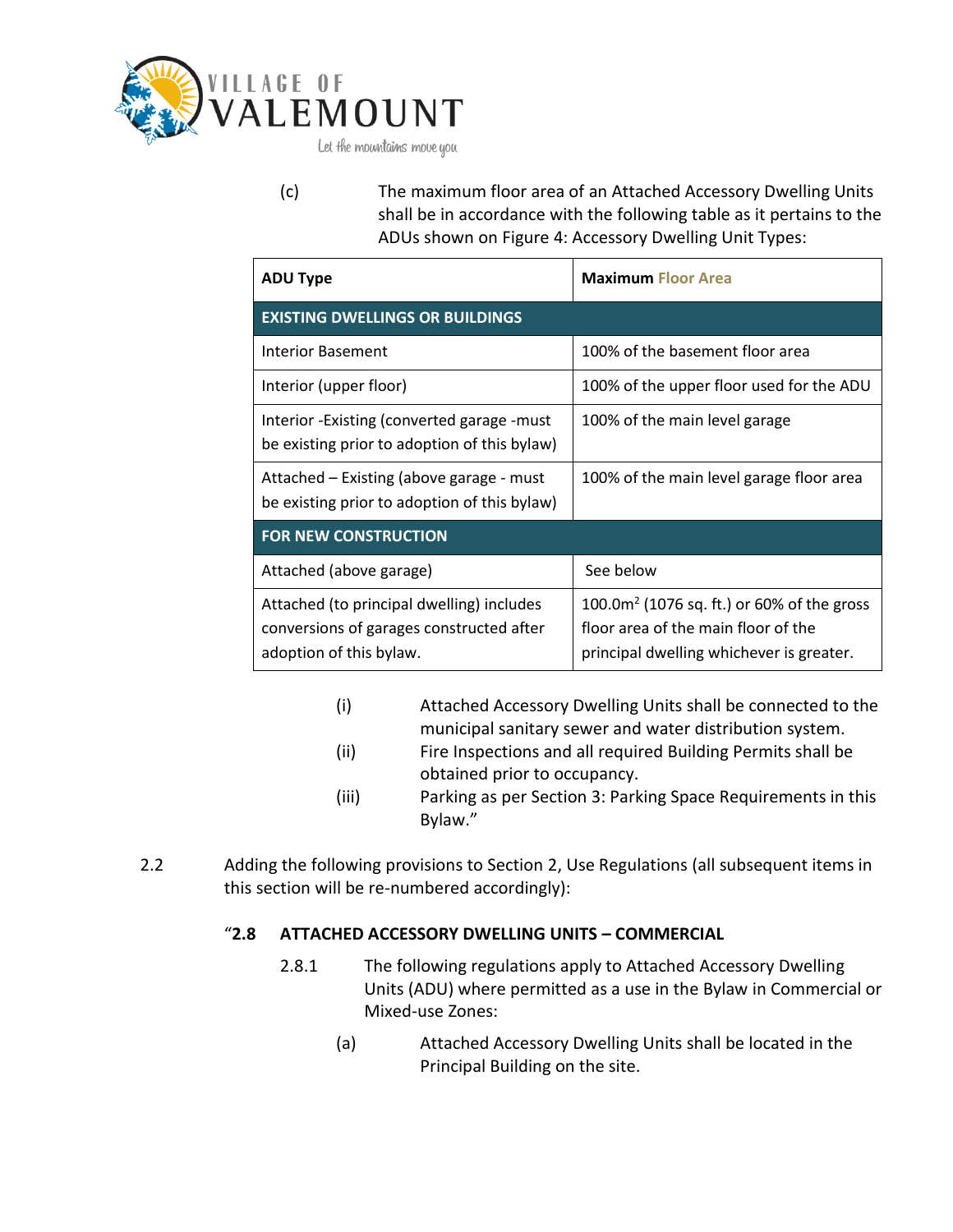

(c) The maximum floor area of an Attached Accessory Dwelling Units shall be in accordance with the following table as it pertains to the ADUs shown on Figure 4: Accessory Dwelling Unit Types:

| <b>ADU Type</b>                                                                                                  | <b>Maximum Floor Area</b>                                                                                                         |
|------------------------------------------------------------------------------------------------------------------|-----------------------------------------------------------------------------------------------------------------------------------|
| <b>EXISTING DWELLINGS OR BUILDINGS</b>                                                                           |                                                                                                                                   |
| <b>Interior Basement</b>                                                                                         | 100% of the basement floor area                                                                                                   |
| Interior (upper floor)                                                                                           | 100% of the upper floor used for the ADU                                                                                          |
| Interior - Existing (converted garage - must<br>be existing prior to adoption of this bylaw)                     | 100% of the main level garage                                                                                                     |
| Attached – Existing (above garage - must<br>be existing prior to adoption of this bylaw)                         | 100% of the main level garage floor area                                                                                          |
| <b>FOR NEW CONSTRUCTION</b>                                                                                      |                                                                                                                                   |
| Attached (above garage)                                                                                          | See below                                                                                                                         |
| Attached (to principal dwelling) includes<br>conversions of garages constructed after<br>adoption of this bylaw. | 100.0 $m^2$ (1076 sq. ft.) or 60% of the gross<br>floor area of the main floor of the<br>principal dwelling whichever is greater. |

- (i) Attached Accessory Dwelling Units shall be connected to the municipal sanitary sewer and water distribution system.
- (ii) Fire Inspections and all required Building Permits shall be obtained prior to occupancy.
- (iii) Parking as per Section 3: Parking Space Requirements in this Bylaw."
- 2.2 Adding the following provisions to Section 2, Use Regulations (all subsequent items in this section will be re-numbered accordingly):

## "**2.8 ATTACHED ACCESSORY DWELLING UNITS – COMMERCIAL**

- 2.8.1 The following regulations apply to Attached Accessory Dwelling Units (ADU) where permitted as a use in the Bylaw in Commercial or Mixed-use Zones:
	- (a) Attached Accessory Dwelling Units shall be located in the Principal Building on the site.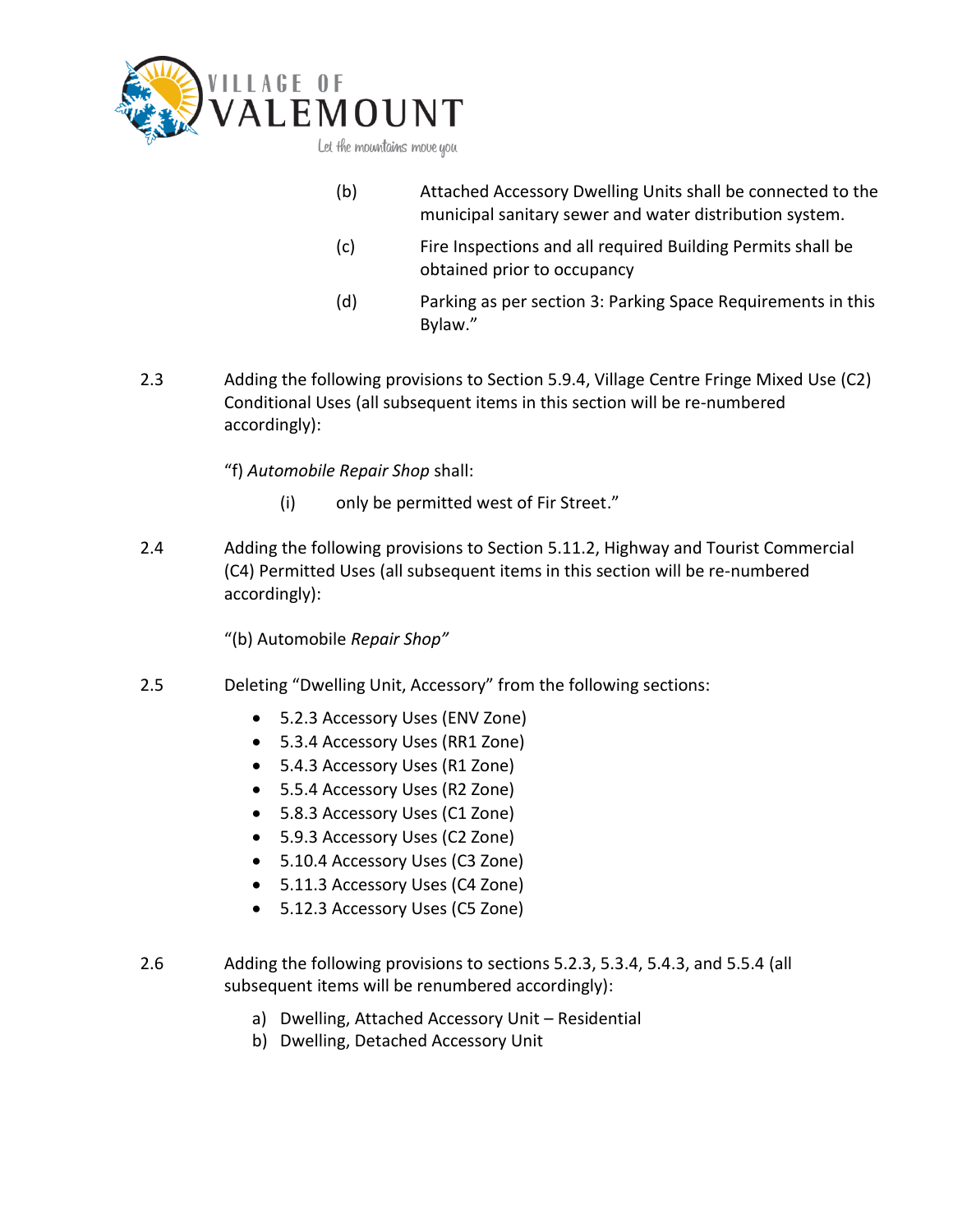

- (b) Attached Accessory Dwelling Units shall be connected to the municipal sanitary sewer and water distribution system.
- (c) Fire Inspections and all required Building Permits shall be obtained prior to occupancy
- (d) Parking as per section 3: Parking Space Requirements in this Bylaw."
- 2.3 Adding the following provisions to Section 5.9.4, Village Centre Fringe Mixed Use (C2) Conditional Uses (all subsequent items in this section will be re-numbered accordingly):

"f) *Automobile Repair Shop* shall:

- (i) only be permitted west of Fir Street."
- 2.4 Adding the following provisions to Section 5.11.2, Highway and Tourist Commercial (C4) Permitted Uses (all subsequent items in this section will be re-numbered accordingly):

"(b) Automobile *Repair Shop"*

- 2.5 Deleting "Dwelling Unit, Accessory" from the following sections:
	- 5.2.3 Accessory Uses (ENV Zone)
	- 5.3.4 Accessory Uses (RR1 Zone)
	- 5.4.3 Accessory Uses (R1 Zone)
	- 5.5.4 Accessory Uses (R2 Zone)
	- 5.8.3 Accessory Uses (C1 Zone)
	- 5.9.3 Accessory Uses (C2 Zone)
	- 5.10.4 Accessory Uses (C3 Zone)
	- 5.11.3 Accessory Uses (C4 Zone)
	- 5.12.3 Accessory Uses (C5 Zone)
- 2.6 Adding the following provisions to sections 5.2.3, 5.3.4, 5.4.3, and 5.5.4 (all subsequent items will be renumbered accordingly):
	- a) Dwelling, Attached Accessory Unit Residential
	- b) Dwelling, Detached Accessory Unit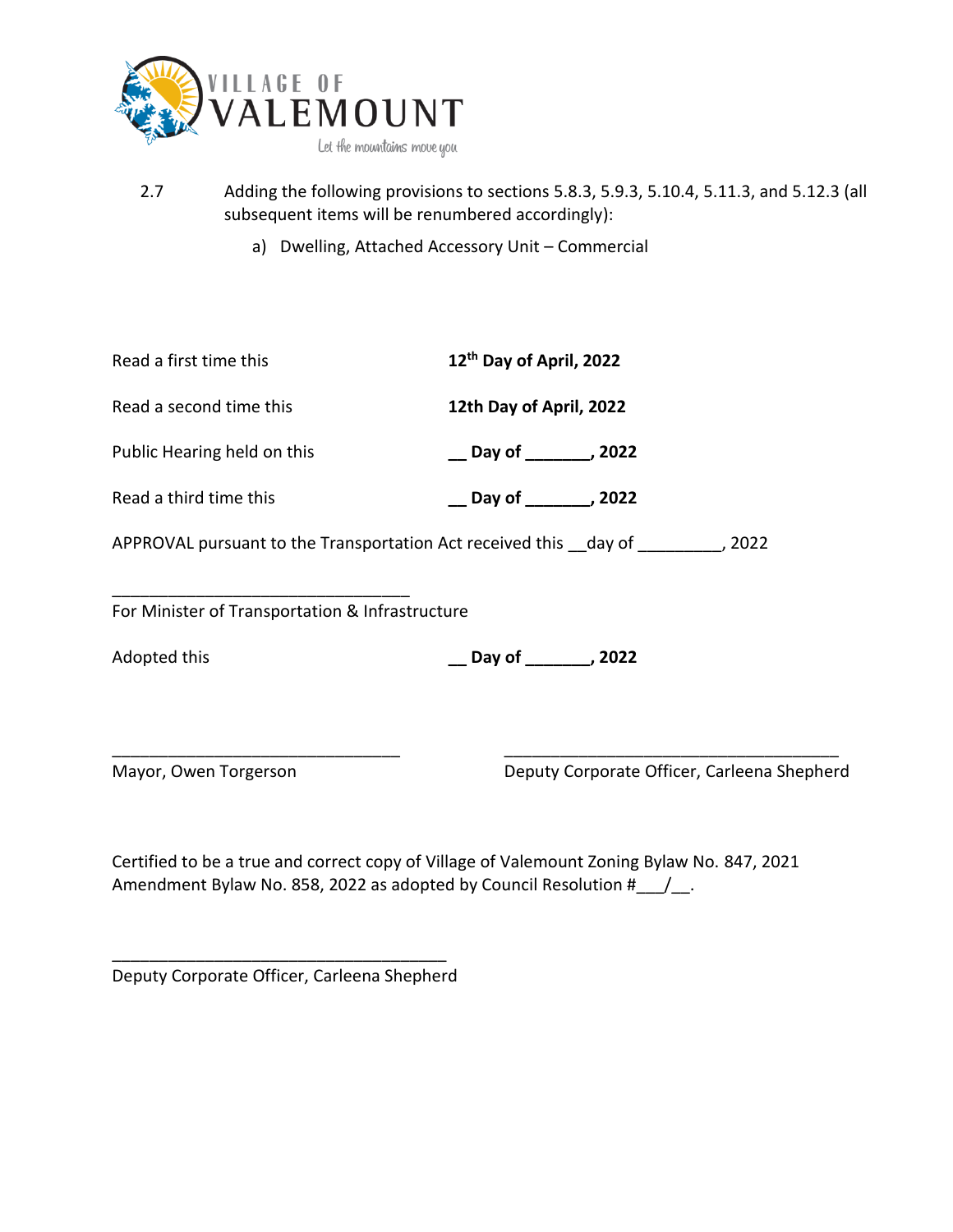

- 2.7 Adding the following provisions to sections 5.8.3, 5.9.3, 5.10.4, 5.11.3, and 5.12.3 (all subsequent items will be renumbered accordingly):
	- a) Dwelling, Attached Accessory Unit Commercial

| Read a first time this                                                | 12 <sup>th</sup> Day of April, 2022         |  |
|-----------------------------------------------------------------------|---------------------------------------------|--|
| Read a second time this                                               | 12th Day of April, 2022                     |  |
| Public Hearing held on this                                           | __ Day of ________, 2022                    |  |
| Read a third time this                                                | Day of ________, 2022                       |  |
| APPROVAL pursuant to the Transportation Act received this day of 2022 |                                             |  |
| For Minister of Transportation & Infrastructure                       |                                             |  |
| Adopted this                                                          | __ Day of ________, 2022                    |  |
|                                                                       |                                             |  |
| Mayor, Owen Torgerson                                                 | Deputy Corporate Officer, Carleena Shepherd |  |
|                                                                       |                                             |  |

Certified to be a true and correct copy of Village of Valemount Zoning Bylaw No. 847, 2021 Amendment Bylaw No. 858, 2022 as adopted by Council Resolution #\_\_\_/\_.

\_\_\_\_\_\_\_\_\_\_\_\_\_\_\_\_\_\_\_\_\_\_\_\_\_\_\_\_\_\_\_\_\_\_\_\_ Deputy Corporate Officer, Carleena Shepherd